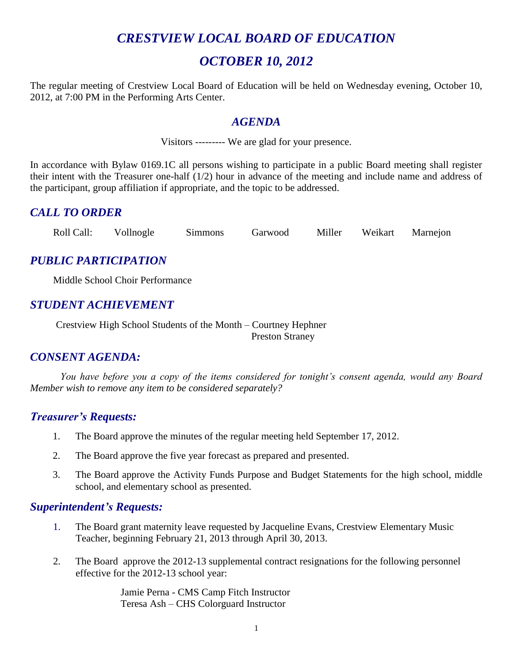## *CRESTVIEW LOCAL BOARD OF EDUCATION*

## *OCTOBER 10, 2012*

The regular meeting of Crestview Local Board of Education will be held on Wednesday evening, October 10, 2012, at 7:00 PM in the Performing Arts Center.

#### *AGENDA*

Visitors --------- We are glad for your presence.

In accordance with Bylaw 0169.1C all persons wishing to participate in a public Board meeting shall register their intent with the Treasurer one-half (1/2) hour in advance of the meeting and include name and address of the participant, group affiliation if appropriate, and the topic to be addressed.

## *CALL TO ORDER*

Roll Call: Vollnogle Simmons Garwood Miller Weikart Marnejon

## *PUBLIC PARTICIPATION*

Middle School Choir Performance

## *STUDENT ACHIEVEMENT*

Crestview High School Students of the Month – Courtney Hephner Preston Straney

## *CONSENT AGENDA:*

*You have before you a copy of the items considered for tonight's consent agenda, would any Board Member wish to remove any item to be considered separately?*

#### *Treasurer's Requests:*

- 1. The Board approve the minutes of the regular meeting held September 17, 2012.
- 2. The Board approve the five year forecast as prepared and presented.
- 3. The Board approve the Activity Funds Purpose and Budget Statements for the high school, middle school, and elementary school as presented.

#### *Superintendent's Requests:*

- 1. The Board grant maternity leave requested by Jacqueline Evans, Crestview Elementary Music Teacher, beginning February 21, 2013 through April 30, 2013.
- 2. The Board approve the 2012-13 supplemental contract resignations for the following personnel effective for the 2012-13 school year:

Jamie Perna - CMS Camp Fitch Instructor Teresa Ash – CHS Colorguard Instructor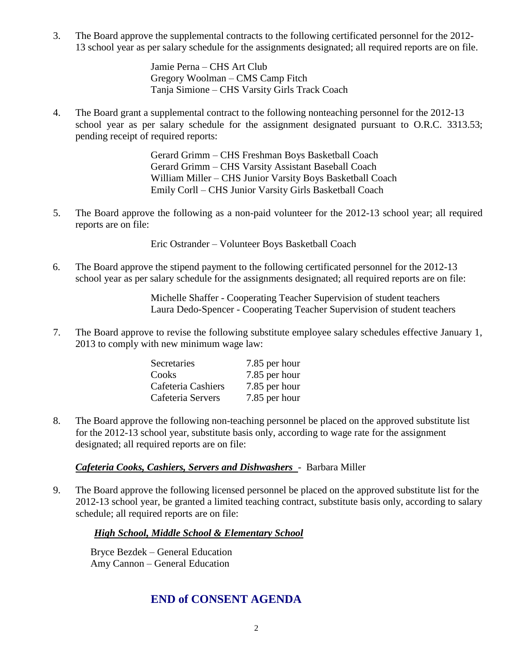3. The Board approve the supplemental contracts to the following certificated personnel for the 2012- 13 school year as per salary schedule for the assignments designated; all required reports are on file.

> Jamie Perna – CHS Art Club Gregory Woolman – CMS Camp Fitch Tanja Simione – CHS Varsity Girls Track Coach

4. The Board grant a supplemental contract to the following nonteaching personnel for the 2012-13 school year as per salary schedule for the assignment designated pursuant to O.R.C. 3313.53; pending receipt of required reports:

> Gerard Grimm – CHS Freshman Boys Basketball Coach Gerard Grimm – CHS Varsity Assistant Baseball Coach William Miller – CHS Junior Varsity Boys Basketball Coach Emily Corll – CHS Junior Varsity Girls Basketball Coach

5. The Board approve the following as a non-paid volunteer for the 2012-13 school year; all required reports are on file:

Eric Ostrander – Volunteer Boys Basketball Coach

6. The Board approve the stipend payment to the following certificated personnel for the 2012-13 school year as per salary schedule for the assignments designated; all required reports are on file:

> Michelle Shaffer - Cooperating Teacher Supervision of student teachers Laura Dedo-Spencer - Cooperating Teacher Supervision of student teachers

7. The Board approve to revise the following substitute employee salary schedules effective January 1, 2013 to comply with new minimum wage law:

| Secretaries        | 7.85 per hour |
|--------------------|---------------|
| Cooks              | 7.85 per hour |
| Cafeteria Cashiers | 7.85 per hour |
| Cafeteria Servers  | 7.85 per hour |

8. The Board approve the following non-teaching personnel be placed on the approved substitute list for the 2012-13 school year, substitute basis only, according to wage rate for the assignment designated; all required reports are on file:

*Cafeteria Cooks, Cashiers, Servers and Dishwashers* - Barbara Miller

9. The Board approve the following licensed personnel be placed on the approved substitute list for the 2012-13 school year, be granted a limited teaching contract, substitute basis only, according to salary schedule; all required reports are on file:

#### *High School, Middle School & Elementary School*

Bryce Bezdek – General Education Amy Cannon – General Education

## **END of CONSENT AGENDA**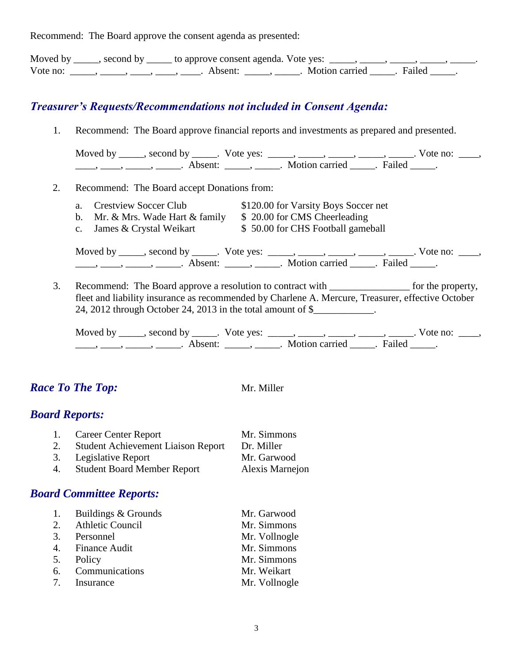Recommend: The Board approve the consent agenda as presented:

|          | Moved by ______, second by ______ to approve consent agenda. Vote yes: |                       |  |
|----------|------------------------------------------------------------------------|-----------------------|--|
| Vote no: | Absent <sup>.</sup>                                                    | Motion carried Tailed |  |

## *Treasurer's Requests/Recommendations not included in Consent Agenda:*

1. Recommend: The Board approve financial reports and investments as prepared and presented.

| Moved by | second by | Vote yes: |                |        | Vote no: |  |
|----------|-----------|-----------|----------------|--------|----------|--|
|          | Absent:   |           | Motion carried | Failed |          |  |

- 2. Recommend: The Board accept Donations from:
	- a. Crestview Soccer Club \$120.00 for Varsity Boys Soccer net
	- b. Mr. & Mrs. Wade Hart & family  $$ 20.00$  for CMS Cheerleading
	- c. James & Crystal Weikart \$ 50.00 for CHS Football gameball

Moved by \_\_\_\_\_, second by \_\_\_\_\_. Vote yes:  $\frac{1}{\sqrt{2}}$ , \_\_\_\_, \_\_\_\_, \_\_\_\_, \_\_\_\_. Vote no: \_\_\_, \_\_\_\_\_, \_\_\_\_\_\_, \_\_\_\_\_\_\_. Absent: \_\_\_\_\_\_, \_\_\_\_\_\_. Motion carried \_\_\_\_\_\_. Failed \_\_\_\_\_.

3. Recommend: The Board approve a resolution to contract with for the property, fleet and liability insurance as recommended by Charlene A. Mercure, Treasurer, effective October 24, 2012 through October 24, 2013 in the total amount of  $\$ 

Moved by \_\_\_\_\_, second by \_\_\_\_\_. Vote yes: \_\_\_\_\_, \_\_\_\_\_, \_\_\_\_\_, \_\_\_\_\_, \_\_\_\_\_. Vote no: \_\_\_\_, ——, ——, ——, Absent: \_\_\_\_, \_\_\_\_\_. Motion carried \_\_\_\_\_. Failed \_\_\_\_.

## *Race To The Top:* Mr. Miller

#### *Board Reports:*

|    | 1. Career Center Report                   | Mr. Simmons     |
|----|-------------------------------------------|-----------------|
| 2. | <b>Student Achievement Liaison Report</b> | Dr. Miller      |
|    | 3. Legislative Report                     | Mr. Garwood     |
| 4. | <b>Student Board Member Report</b>        | Alexis Marnejon |

#### *Board Committee Reports:*

| 1. | Buildings & Grounds | Mr. Garwood   |
|----|---------------------|---------------|
|    | 2. Athletic Council | Mr. Simmons   |
|    | 3. Personnel        | Mr. Vollnogle |
|    | 4. Finance Audit    | Mr. Simmons   |
|    | 5. Policy           | Mr. Simmons   |
|    | 6. Communications   | Mr. Weikart   |
|    | 7. Insurance        | Mr. Vollnogle |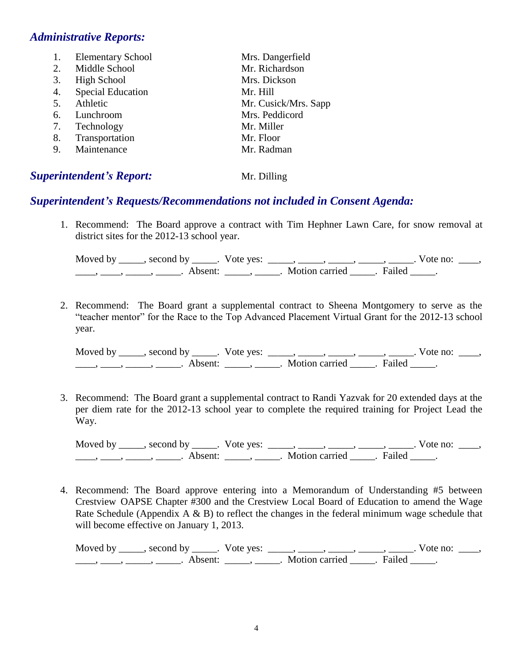#### *Administrative Reports:*

| 1. | <b>Elementary School</b> | Mrs. Dangerfield     |
|----|--------------------------|----------------------|
| 2. | Middle School            | Mr. Richardson       |
| 3. | High School              | Mrs. Dickson         |
| 4. | <b>Special Education</b> | Mr. Hill             |
| 5. | Athletic                 | Mr. Cusick/Mrs. Sapp |
| 6. | Lunchroom                | Mrs. Peddicord       |
| 7. | Technology               | Mr. Miller           |
| 8. | Transportation           | Mr. Floor            |
| 9. | Maintenance              | Mr. Radman           |
|    |                          |                      |

## **Superintendent's Report:** Mr. Dilling

## *Superintendent's Requests/Recommendations not included in Consent Agenda:*

1. Recommend: The Board approve a contract with Tim Hephner Lawn Care, for snow removal at district sites for the 2012-13 school year.

Moved by \_\_\_\_\_, second by \_\_\_\_\_. Vote yes: \_\_\_\_\_, \_\_\_\_\_, \_\_\_\_\_, \_\_\_\_\_, \_\_\_\_\_. Vote no: \_\_\_\_,  $\overline{\phantom{a}}$ ,  $\overline{\phantom{a}}$ ,  $\overline{\phantom{a}}$ ,  $\overline{\phantom{a}}$ ,  $\overline{\phantom{a}}$  Absent:  $\overline{\phantom{a}}$ ,  $\overline{\phantom{a}}$ ,  $\overline{\phantom{a}}$ ,  $\overline{\phantom{a}}$ ,  $\overline{\phantom{a}}$ ,  $\overline{\phantom{a}}$ ,  $\overline{\phantom{a}}$ ,  $\overline{\phantom{a}}$ ,  $\overline{\phantom{a}}$ ,  $\overline{\phantom{a}}$ ,  $\overline{\phantom{a}}$ ,  $\overline{\phant$ 

2. Recommend: The Board grant a supplemental contract to Sheena Montgomery to serve as the "teacher mentor" for the Race to the Top Advanced Placement Virtual Grant for the 2012-13 school year.

Moved by \_\_\_\_\_, second by \_\_\_\_\_. Vote yes: \_\_\_\_\_, \_\_\_\_\_, \_\_\_\_\_, \_\_\_\_\_, \_\_\_\_\_. Vote no: \_\_\_\_, \_\_\_\_\_, \_\_\_\_\_, \_\_\_\_\_\_. Absent: \_\_\_\_\_, \_\_\_\_\_. Motion carried \_\_\_\_\_. Failed \_\_\_\_\_.

3. Recommend: The Board grant a supplemental contract to Randi Yazvak for 20 extended days at the per diem rate for the 2012-13 school year to complete the required training for Project Lead the Way.

Moved by \_\_\_\_\_, second by \_\_\_\_\_. Vote yes:  $\_\_\_\_\_\_\_\_\_\_\_\_\_\_\_$  \_\_\_\_\_, \_\_\_\_\_, \_\_\_\_\_. Vote no:  $\_\_\_\_\_\_\$ \_\_\_\_\_, \_\_\_\_\_\_, \_\_\_\_\_\_\_. Absent: \_\_\_\_\_\_, \_\_\_\_\_\_. Motion carried \_\_\_\_\_\_. Failed \_\_\_\_\_.

4. Recommend: The Board approve entering into a Memorandum of Understanding #5 between Crestview OAPSE Chapter #300 and the Crestview Local Board of Education to amend the Wage Rate Schedule (Appendix  $A \& B$ ) to reflect the changes in the federal minimum wage schedule that will become effective on January 1, 2013.

Moved by \_\_\_\_\_, second by \_\_\_\_\_. Vote yes: \_\_\_\_\_, \_\_\_\_\_, \_\_\_\_\_, \_\_\_\_\_, \_\_\_\_\_. Vote no: \_\_\_\_,  $\frac{1}{\sqrt{2}}$ ,  $\frac{1}{\sqrt{2}}$ ,  $\frac{1}{\sqrt{2}}$ ,  $\frac{1}{\sqrt{2}}$ ,  $\frac{1}{\sqrt{2}}$ ,  $\frac{1}{\sqrt{2}}$ ,  $\frac{1}{\sqrt{2}}$ ,  $\frac{1}{\sqrt{2}}$ ,  $\frac{1}{\sqrt{2}}$ ,  $\frac{1}{\sqrt{2}}$ ,  $\frac{1}{\sqrt{2}}$ ,  $\frac{1}{\sqrt{2}}$ ,  $\frac{1}{\sqrt{2}}$ ,  $\frac{1}{\sqrt{2}}$ ,  $\frac{1}{\sqrt{2}}$ ,  $\frac{1}{\sqrt{2}}$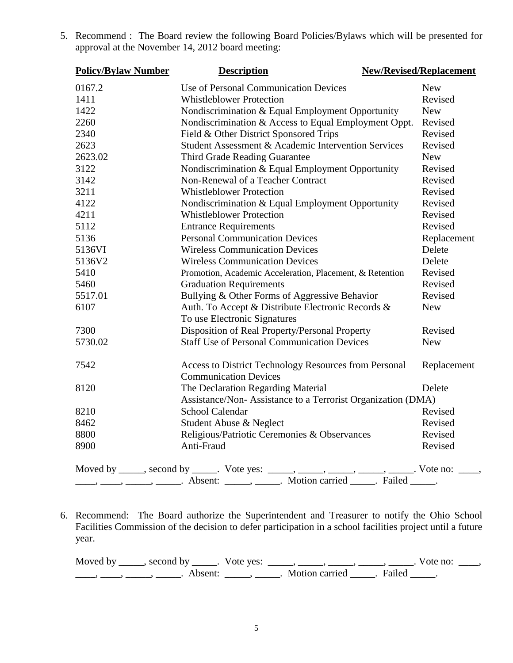| <b>Policy/Bylaw Number</b> | <b>Description</b>                                                                                                                                             | <b>New/Revised/Replacement</b> |
|----------------------------|----------------------------------------------------------------------------------------------------------------------------------------------------------------|--------------------------------|
| 0167.2                     | Use of Personal Communication Devices                                                                                                                          | <b>New</b>                     |
| 1411                       | <b>Whistleblower Protection</b>                                                                                                                                | Revised                        |
| 1422                       | Nondiscrimination & Equal Employment Opportunity                                                                                                               | <b>New</b>                     |
| 2260                       | Nondiscrimination & Access to Equal Employment Oppt.                                                                                                           | Revised                        |
| 2340                       | Field & Other District Sponsored Trips                                                                                                                         | Revised                        |
| 2623                       | Student Assessment & Academic Intervention Services                                                                                                            | Revised                        |
| 2623.02                    | Third Grade Reading Guarantee                                                                                                                                  | <b>New</b>                     |
| 3122                       | Nondiscrimination & Equal Employment Opportunity                                                                                                               | Revised                        |
| 3142                       | Non-Renewal of a Teacher Contract                                                                                                                              | Revised                        |
| 3211                       | <b>Whistleblower Protection</b>                                                                                                                                | Revised                        |
| 4122                       | Nondiscrimination & Equal Employment Opportunity                                                                                                               | Revised                        |
| 4211                       | <b>Whistleblower Protection</b>                                                                                                                                | Revised                        |
| 5112                       | <b>Entrance Requirements</b>                                                                                                                                   | Revised                        |
| 5136                       | <b>Personal Communication Devices</b>                                                                                                                          | Replacement                    |
| 5136VI                     | <b>Wireless Communication Devices</b>                                                                                                                          | Delete                         |
| 5136V2                     | <b>Wireless Communication Devices</b>                                                                                                                          | Delete                         |
| 5410                       | Promotion, Academic Acceleration, Placement, & Retention                                                                                                       | Revised                        |
| 5460                       | <b>Graduation Requirements</b>                                                                                                                                 | Revised                        |
| 5517.01                    | Bullying & Other Forms of Aggressive Behavior                                                                                                                  | Revised                        |
| 6107                       | Auth. To Accept & Distribute Electronic Records &                                                                                                              | <b>New</b>                     |
|                            | To use Electronic Signatures                                                                                                                                   |                                |
| 7300                       | Disposition of Real Property/Personal Property                                                                                                                 | Revised                        |
| 5730.02                    | <b>Staff Use of Personal Communication Devices</b>                                                                                                             | <b>New</b>                     |
| 7542                       | Access to District Technology Resources from Personal<br><b>Communication Devices</b>                                                                          | Replacement                    |
| 8120                       | The Declaration Regarding Material                                                                                                                             | Delete                         |
|                            | Assistance/Non-Assistance to a Terrorist Organization (DMA)                                                                                                    |                                |
| 8210                       | <b>School Calendar</b>                                                                                                                                         | Revised                        |
| 8462                       | Student Abuse & Neglect                                                                                                                                        | Revised                        |
| 8800                       | Religious/Patriotic Ceremonies & Observances                                                                                                                   | Revised                        |
| 8900                       | Anti-Fraud                                                                                                                                                     | Revised                        |
|                            | Moved by _____, second by _____. Vote yes: _____, _____, _____, _____, ______. Vote no: ____, _____, Absent: _____, _____. Motion carried _____. Failed _____. |                                |
|                            |                                                                                                                                                                |                                |

5. Recommend : The Board review the following Board Policies/Bylaws which will be presented for approval at the November 14, 2012 board meeting:

6. Recommend: The Board authorize the Superintendent and Treasurer to notify the Ohio School Facilities Commission of the decision to defer participation in a school facilities project until a future year.

Moved by \_\_\_\_\_, second by \_\_\_\_\_. Vote yes:  $\_\_\_\_\_\_\_\_\_\_\_\_\_\_\_$  \_\_\_\_\_, \_\_\_\_\_, \_\_\_\_\_. Vote no:  $\_\_\_\_\_\_\$ \_\_\_\_\_, \_\_\_\_\_, \_\_\_\_\_\_\_. Absent: \_\_\_\_\_\_, \_\_\_\_\_\_. Motion carried \_\_\_\_\_\_. Failed \_\_\_\_\_.